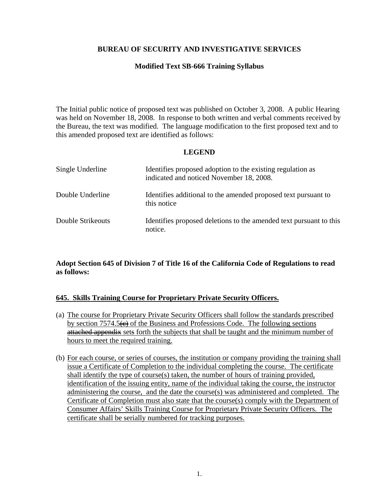## **BUREAU OF SECURITY AND INVESTIGATIVE SERVICES**

#### **Modified Text SB-666 Training Syllabus**

The Initial public notice of proposed text was published on October 3, 2008. A public Hearing was held on November 18, 2008. In response to both written and verbal comments received by the Bureau, the text was modified. The language modification to the first proposed text and to this amended proposed text are identified as follows:

#### **LEGEND**

| Single Underline  | Identifies proposed adoption to the existing regulation as<br>indicated and noticed November 18, 2008. |
|-------------------|--------------------------------------------------------------------------------------------------------|
| Double Underline  | Identifies additional to the amended proposed text pursuant to<br>this notice                          |
| Double Strikeouts | Identifies proposed deletions to the amended text pursuant to this<br>notice.                          |

#### **Adopt Section 645 of Division 7 of Title 16 of the California Code of Regulations to read as follows:**

#### **645. Skills Training Course for Proprietary Private Security Officers.**

- (a) The course for Proprietary Private Security Officers shall follow the standards prescribed by section  $7574.5\leftrightarrow$  of the Business and Professions Code. The following sections attached appendix sets forth the subjects that shall be taught and the minimum number of hours to meet the required training.
- (b) For each course, or series of courses, the institution or company providing the training shall issue a Certificate of Completion to the individual completing the course. The certificate shall identify the type of course(s) taken, the number of hours of training provided, identification of the issuing entity, name of the individual taking the course, the instructor administering the course, and the date the course(s) was administered and completed. The Certificate of Completion must also state that the course(s) comply with the Department of Consumer Affairs' Skills Training Course for Proprietary Private Security Officers. The certificate shall be serially numbered for tracking purposes.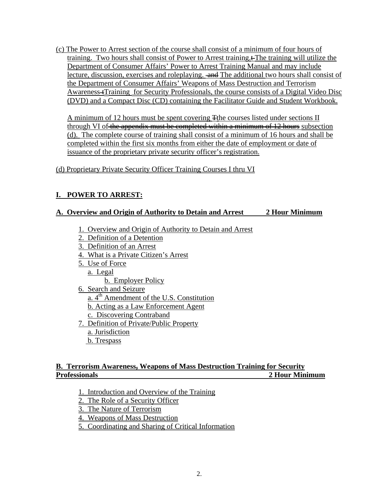(c) The Power to Arrest section of the course shall consist of a minimum of four hours of training. Two hours shall consist of Power to Arrest training.<sup>+</sup> The training will utilize the Department of Consumer Affairs' Power to Arrest Training Manual and may include lecture, discussion, exercises and roleplaying.  $\overline{and}$  The additional two hours shall consist of the Department of Consumer Affairs' Weapons of Mass Destruction and Terrorism Awareness Training for Security Professionals, the course consists of a Digital Video Disc

(DVD) and a Compact Disc (CD) containing the Facilitator Guide and Student Workbook.<br>A minimum of 12 hours must be spent covering <del>T</del>the courses listed under sections II through VI of the appendix must be completed within a minimum of 12 hours subsection (d). The complete course of training shall consist of a minimum of 16 hours and shall be completed within the first six months from either the date of employment or date of issuance of the proprietary private security officer's registration.

## (d) Proprietary Private Security Officer Training Courses I thru VI

# **I. POWER TO ARREST:**

## **A. Overview and Origin of Authority to Detain and Arrest 2 Hour Minimum**

- 1. Overview and Origin of Authority to Detain and Arrest
- 2. Definition of a Detention
- 3. Definition of an Arrest
- 4. What is a Private Citizen's Arrest
- 5. Use of Force
	- a. Legal

b. Employer Policy

6. Search and Seizure

a. 4<sup>th</sup> Amendment of the U.S. Constitution

b. Acting as a Law Enforcement Agent

- c. Discovering Contraband
- 7. Definition of Private/Public Property a. Jurisdiction
	- b. Trespass

## **B. Terrorism Awareness, Weapons of Mass Destruction Training for Security Professionals 2 Hour Minimum**

- 1. Introduction and Overview of the Training<br>2. The Role of a Security Officer
- 
- 3. The Nature of Terrorism
- 4. Weapons of Mass Destruction
- 5. Coordinating and Sharing of Critical Information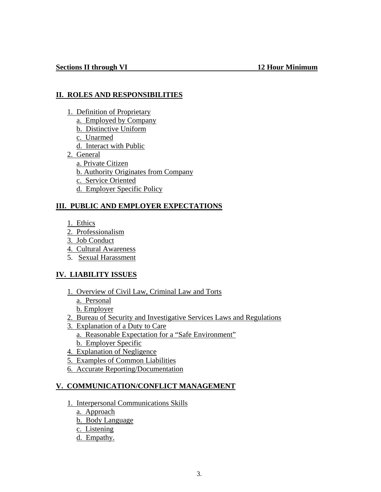## **II. ROLES AND RESPONSIBILITIES**

- 1. Definition of Proprietary
	- a. Employed by Company
	- b. Distinctive Uniform
	- c. Unarmed
	- d. Interact with Public
- 2. General
	- a. Private Citizen
	- b. Authority Originates from Company
	- c. Service Oriented
	- d. Employer Specific Policy

## **III. PUBLIC AND EMPLOYER EXPECTATIONS**

- 1. Ethics
- 2. Professionalism
- 3. Job Conduct
- 4. Cultural Awareness
- 5. Sexual Harassment

# **IV. LIABILITY ISSUES**

- 1. Overview of Civil Law, Criminal Law and Torts
	- a. Personal
	- b. Employer
- 2. Bureau of Security and Investigative Services Laws and Regulations
- 3. Explanation of a Duty to Care
	- a. Reasonable Expectation for a "Safe Environment"
	- b. Employer Specific
- 4. Explanation of Negligence
- 5. Examples of Common Liabilities
- 6. Accurate Reporting/Documentation

# **V. COMMUNICATION/CONFLICT MANAGEMENT**

- 1. Interpersonal Communications Skills
	- a. Approach
	- b. Body Language
	- c. Listening
	- d. Empathy.